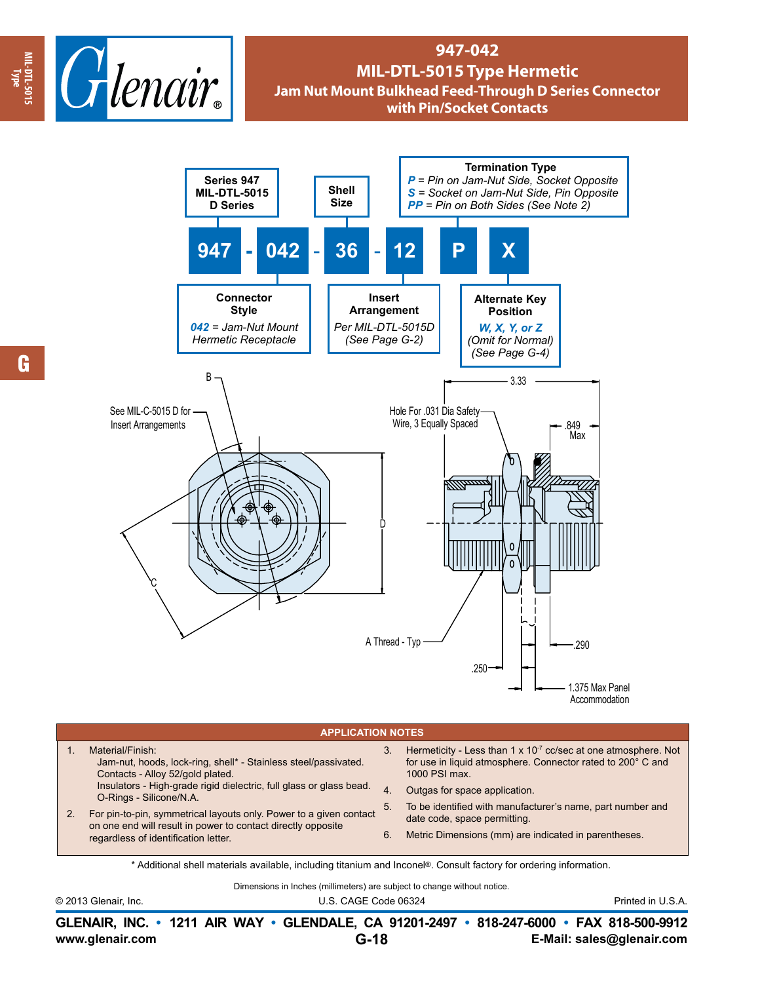

## **947-042 MIL-DTL-5015 Type Hermetic Jam Nut Mount Bulkhead Feed-Through D Series Connector with Pin/Socket Contacts**



## **APPLICATION NOTES**

|  | Material/Finish:<br>Jam-nut, hoods, lock-ring, shell* - Stainless steel/passivated.<br>Contacts - Alloy 52/gold plated.<br>Insulators - High-grade rigid dielectric, full glass or glass bead.<br>O-Rings - Silicone/N.A.<br>For pin-to-pin, symmetrical layouts only. Power to a given contact<br>on one end will result in power to contact directly opposite<br>regardless of identification letter. | 3. | Hermeticity - Less than 1 x 10 <sup>-7</sup> cc/sec at one atmosphere. Not<br>for use in liquid atmosphere. Connector rated to 200° C and<br>1000 PSI max. |
|--|---------------------------------------------------------------------------------------------------------------------------------------------------------------------------------------------------------------------------------------------------------------------------------------------------------------------------------------------------------------------------------------------------------|----|------------------------------------------------------------------------------------------------------------------------------------------------------------|
|  |                                                                                                                                                                                                                                                                                                                                                                                                         | 4. | Outgas for space application.                                                                                                                              |
|  |                                                                                                                                                                                                                                                                                                                                                                                                         | 5. | To be identified with manufacturer's name, part number and<br>date code, space permitting.                                                                 |
|  |                                                                                                                                                                                                                                                                                                                                                                                                         | 6. | Metric Dimensions (mm) are indicated in parentheses.                                                                                                       |

\* Additional shell materials available, including titanium and Inconel®. Consult factory for ordering information.

Dimensions in Inches (millimeters) are subject to change without notice.

© 2013 Glenair, Inc. U.S. CAGE Code 06324 Printed in U.S.A.

**www.glenair.com E-Mail: sales@glenair.com GLENAIR, INC. • 1211 AIR WAY • GLENDALE, CA 91201-2497 • 818-247-6000 • FAX 818-500-9912 G-18**